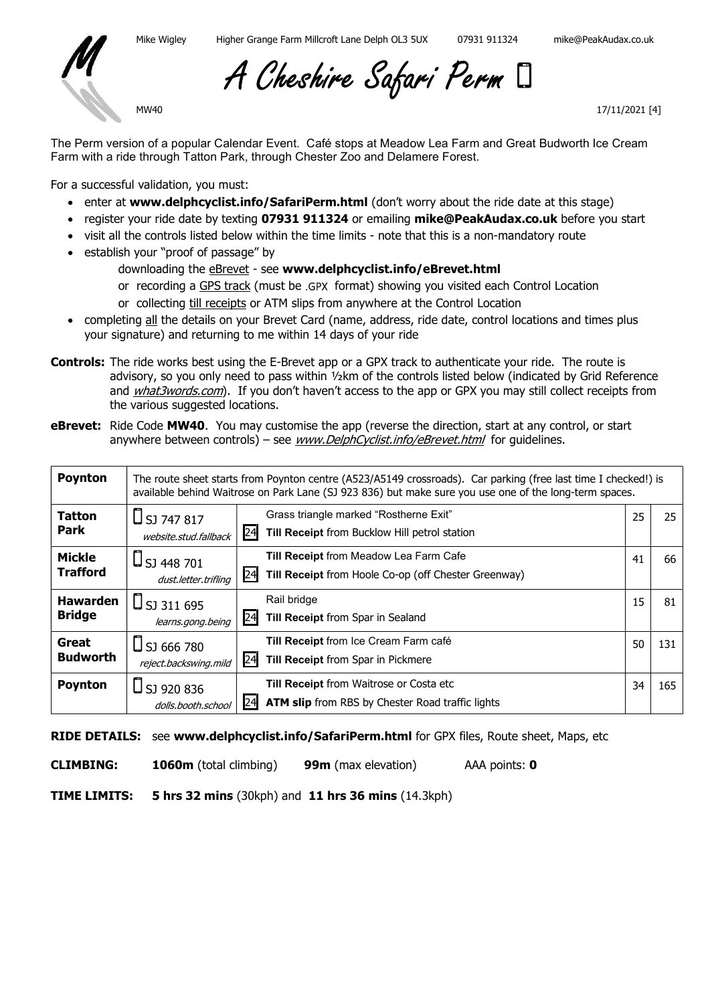

A Cheshire Safari Perm

MW40

17/11/2021 [4]

The Perm version of a popular Calendar Event. Café stops at Meadow Lea Farm and Great Budworth Ice Cream Farm with a ride through Tatton Park, through Chester Zoo and Delamere Forest.

For a successful validation, you must:

- enter at www.delphcyclist.info/SafariPerm.html (don't worry about the ride date at this stage)
- register your ride date by texting 07931 911324 or emailing mike@PeakAudax.co.uk before you start
- visit all the controls listed below within the time limits note that this is a non-mandatory route
- establish your "proof of passage" by
	- downloading the eBrevet see www.delphcyclist.info/eBrevet.html
	- or recording a GPS track (must be .GPX format) showing you visited each Control Location
	- or collecting till receipts or ATM slips from anywhere at the Control Location
- completing all the details on your Brevet Card (name, address, ride date, control locations and times plus your signature) and returning to me within 14 days of your ride
- Controls: The ride works best using the E-Brevet app or a GPX track to authenticate your ride. The route is advisory, so you only need to pass within ½km of the controls listed below (indicated by Grid Reference and *what3words.com*). If you don't haven't access to the app or GPX you may still collect receipts from the various suggested locations.
- eBrevet: Ride Code MW40. You may customise the app (reverse the direction, start at any control, or start anywhere between controls) – see *www.DelphCyclist.info/eBrevet.html* for guidelines.

| <b>Poynton</b>                   | The route sheet starts from Poynton centre (A523/A5149 crossroads). Car parking (free last time I checked!) is<br>available behind Waitrose on Park Lane (SJ 923 836) but make sure you use one of the long-term spaces. |                                                                                                             |    |     |
|----------------------------------|--------------------------------------------------------------------------------------------------------------------------------------------------------------------------------------------------------------------------|-------------------------------------------------------------------------------------------------------------|----|-----|
| <b>Tatton</b><br><b>Park</b>     | $\Box$ SJ 747 817<br>website.stud.fallback                                                                                                                                                                               | Grass triangle marked "Rostherne Exit"<br> 24 <br>Till Receipt from Bucklow Hill petrol station             | 25 | 25  |
| <b>Mickle</b><br><b>Trafford</b> | $\Box$ SJ 448 701<br>dust.letter.trifling                                                                                                                                                                                | <b>Till Receipt from Meadow Lea Farm Cafe</b><br>24<br>Till Receipt from Hoole Co-op (off Chester Greenway) | 41 | 66  |
| <b>Hawarden</b><br><b>Bridge</b> | $\Box$ SJ 311 695<br>learns.gong.being                                                                                                                                                                                   | Rail bridge<br>24<br>Till Receipt from Spar in Sealand                                                      | 15 | 81  |
| Great<br><b>Budworth</b>         | $\Box$ SJ 666 780<br>reject.backswing.mild                                                                                                                                                                               | Till Receipt from Ice Cream Farm café<br>24<br>Till Receipt from Spar in Pickmere                           | 50 | 131 |
| <b>Poynton</b>                   | $\bigcup$ SJ 920 836<br>dolls.booth.school                                                                                                                                                                               | Till Receipt from Waitrose or Costa etc<br><b>ATM slip</b> from RBS by Chester Road traffic lights          | 34 | 165 |

RIDE DETAILS: see www.delphcyclist.info/SafariPerm.html for GPX files, Route sheet, Maps, etc

CLIMBING: 1060m (total climbing) 99m (max elevation) AAA points: 0

TIME LIMITS: 5 hrs 32 mins (30kph) and 11 hrs 36 mins (14.3kph)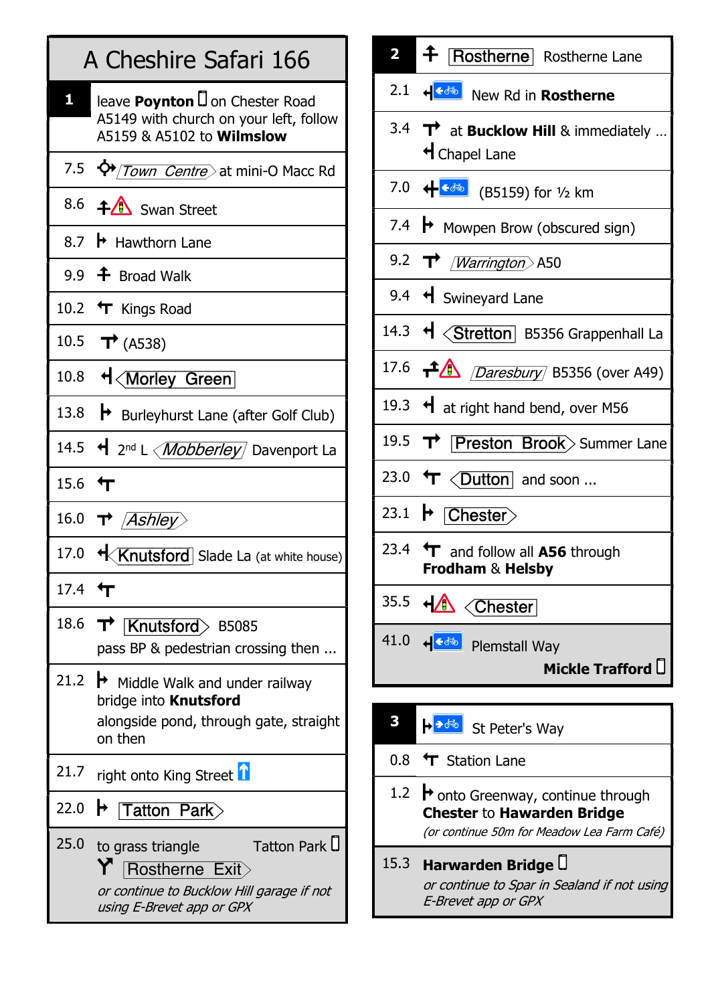|                 | A Cheshire Safari 166                                                                                                           |  |  |
|-----------------|---------------------------------------------------------------------------------------------------------------------------------|--|--|
| 1,              | leave Poynton U on Chester Road<br>A5149 with church on your left, follow<br>A5159 & A5102 to <b>Wilmslow</b>                   |  |  |
|                 | 7.5 $\Phi$ /Town Centre > at mini-O Macc Rd                                                                                     |  |  |
|                 | 8.6 <b>+4</b> Swan Street                                                                                                       |  |  |
|                 | 8.7 $\,\,\blacktriangleright\,$ Hawthorn Lane                                                                                   |  |  |
|                 | 9.9 $\triangleq$ Broad Walk                                                                                                     |  |  |
|                 | 10.2 T Kings Road                                                                                                               |  |  |
|                 | 10.5 $\rightarrow$ (A538)                                                                                                       |  |  |
|                 | 10.8 + <morley green<="" td=""></morley>                                                                                        |  |  |
|                 | 13.8 $\rightarrow$ Burleyhurst Lane (after Golf Club)                                                                           |  |  |
|                 | 14.5 ← 2 <sup>nd</sup> L < <i>Mobberley</i> Davenport La                                                                        |  |  |
| 15.6 $\text{L}$ |                                                                                                                                 |  |  |
|                 | 16.0 $\rightarrow$ <i>Ashley</i>                                                                                                |  |  |
|                 | 17.0 <b>+ Knutsford</b> Slade La (at white house)                                                                               |  |  |
| 17.4 $\uparrow$ |                                                                                                                                 |  |  |
| 18.6            | $\overline{\text{Knutsford}}$ B5085<br>pass BP & pedestrian crossing then                                                       |  |  |
|                 | 21.2 $\rightarrow$ Middle Walk and under railway<br>bridge into Knutsford<br>alongside pond, through gate, straight<br>on then  |  |  |
| 21.7            | right onto King Street <b>D</b>                                                                                                 |  |  |
| 22.0            | <b>Tatton Park</b><br>H                                                                                                         |  |  |
| 25.0            | Tatton Park D<br>to grass triangle<br>Rostherne Exit><br>or continue to Bucklow Hill garage if not<br>using E-Brevet app or GPX |  |  |

|     | 2 <b>+</b> Rostherne Rostherne Lane                                                    |
|-----|----------------------------------------------------------------------------------------|
|     |                                                                                        |
|     | 3.4 $\mathbf{T}^{\dagger}$ at <b>Bucklow Hill</b> & immediately<br>H Chapel Lane       |
|     |                                                                                        |
|     | 7.4 $\rightarrow$ Mowpen Brow (obscured sign)                                          |
|     | 9.2 $\rightarrow$ / <i>Warrington</i> A50                                              |
|     | 9.4 + Swineyard Lane                                                                   |
|     | 14.3 + < Stretton B5356 Grappenhall La                                                 |
|     | 17.6 $\rightarrow$ <i>Daresbury</i> B5356 (over A49)                                   |
|     | 19.3 $\leftrightarrow$ at right hand bend, over M56                                    |
|     | 19.5 <b>T Preston Brook</b> > Summer Lane                                              |
|     | 23.0 $\text{Tr} \left\langle \text{Dutton} \right\rangle$ and soon                     |
|     | 23.1 $\blacktriangleright$ Chester                                                     |
|     | 23.4 T and follow all A56 through<br>Frodham & Helsby                                  |
|     | 35.5 + Chester                                                                         |
|     | 41.0 + $\leftarrow$ Plemstall Way<br>Mickle Trafford U                                 |
|     |                                                                                        |
| 3   | → → do St Peter's Way                                                                  |
| 0.8 | T Station Lane                                                                         |
|     | 1.2 $\rightarrow$ onto Greenway, continue through<br><b>Chester to Hawarden Bridge</b> |

- (or continue 50m for Meadow Lea Farm Café)
- 15.3 Harwarden Bridge or continue to Spar in Sealand if not using E-Brevet app or GPX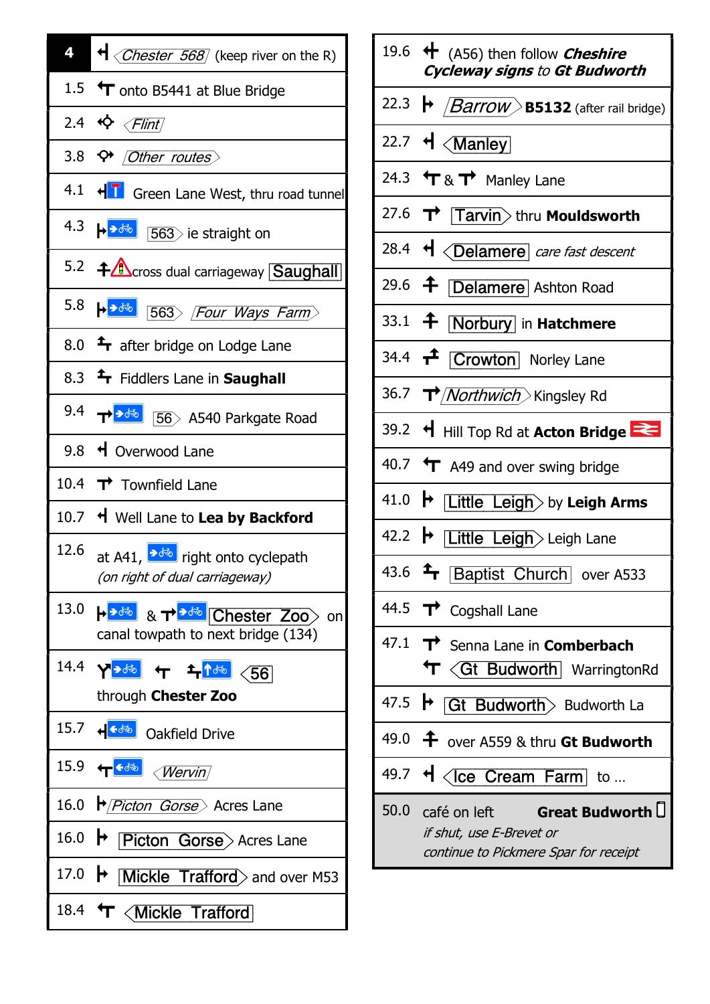| $\overline{A}$ $\overline{C}$ $\overline{C}$ $\overline{C}$ $\overline{C}$ $\overline{C}$ $\overline{C}$ $\overline{C}$ $\overline{C}$ $\overline{C}$ $\overline{C}$ $\overline{C}$ $\overline{C}$ $\overline{C}$ $\overline{C}$ $\overline{C}$ $\overline{C}$ $\overline{C}$ $\overline{C}$ $\overline{C}$ $\overline{C}$ $\overline{C}$ $\overline{C}$ $\overline{C}$ $\overline{$                                                                                                                                             |
|----------------------------------------------------------------------------------------------------------------------------------------------------------------------------------------------------------------------------------------------------------------------------------------------------------------------------------------------------------------------------------------------------------------------------------------------------------------------------------------------------------------------------------|
| 1.5 $\Upsilon$ onto B5441 at Blue Bridge                                                                                                                                                                                                                                                                                                                                                                                                                                                                                         |
| 2.4 $\Leftrightarrow$ $\langle$ Flint                                                                                                                                                                                                                                                                                                                                                                                                                                                                                            |
| 3.8 $\leftrightarrow$ Other routes                                                                                                                                                                                                                                                                                                                                                                                                                                                                                               |
| 4.1 + T Green Lane West, thru road tunnel                                                                                                                                                                                                                                                                                                                                                                                                                                                                                        |
| 4.3 $\leftarrow$ $\bullet$ $\bullet$ $\boxed{563}$ ie straight on                                                                                                                                                                                                                                                                                                                                                                                                                                                                |
| 5.2 <b>+</b> Cross dual carriageway <b>Saughall</b>                                                                                                                                                                                                                                                                                                                                                                                                                                                                              |
| 5.8 $\leftarrow$ 363) Four Ways Farm                                                                                                                                                                                                                                                                                                                                                                                                                                                                                             |
| 8.0 $\rightarrow$ after bridge on Lodge Lane                                                                                                                                                                                                                                                                                                                                                                                                                                                                                     |
| 8.3 <sup>T</sup> Fiddlers Lane in Saughall                                                                                                                                                                                                                                                                                                                                                                                                                                                                                       |
| 9.4 $\mathbf{T}$ $\mathbf{B}$ $\mathbf{B}$ $\mathbf{B}$ as A540 Parkgate Road                                                                                                                                                                                                                                                                                                                                                                                                                                                    |
| 9.8 + Overwood Lane                                                                                                                                                                                                                                                                                                                                                                                                                                                                                                              |
| 10.4 $\rightarrow$ Townfield Lane                                                                                                                                                                                                                                                                                                                                                                                                                                                                                                |
| 10.7 + Well Lane to Lea by Backford                                                                                                                                                                                                                                                                                                                                                                                                                                                                                              |
| 12.6 at A41, $\sqrt{3}$ right onto cyclepath<br>(on right of dual carriageway)                                                                                                                                                                                                                                                                                                                                                                                                                                                   |
| canal towpath to next bridge (134)                                                                                                                                                                                                                                                                                                                                                                                                                                                                                               |
| 14.4 $\sqrt{20}$ + $\frac{1}{2}$ $\sqrt{56}$<br>through Chester Zoo                                                                                                                                                                                                                                                                                                                                                                                                                                                              |
| 15.7 + <sup> +</sup> <sub>64</sub> + <sub>15</sub> + <sub>15</sub> + <sub>64</sub> + <sub>15</sub> + <sub>15</sub> + <sub>15</sub> + <sub>15</sub> + <sub>15</sub> + <sub>15</sub> + <sub>15</sub> + <sub>15</sub> + <sub>15</sub> + <sub>16</sub> + <sub>16</sub> + <sub>16</sub> + <sub>16</sub> + <sub>16</sub> + <sub>16</sub> + <sub>16</sub> + <sub>16</sub> + <sub>16</sub> + <sub>16</sub> + <sub>16</sub> + <sub>16</sub> + <sub>16</sub> + <sub>16</sub> + <sub>16</sub> + <sub>16</sub> + <sub>16</sub> + <sub></sub> |
| 15.9 <del>(<sup>color</sup>)</del> <i>(Wervin)</i>                                                                                                                                                                                                                                                                                                                                                                                                                                                                               |
| 16.0 <i>♦ Picton Gorse</i> Acres Lane                                                                                                                                                                                                                                                                                                                                                                                                                                                                                            |
| 16.0 <b>• Picton Gorse</b> Acres Lane                                                                                                                                                                                                                                                                                                                                                                                                                                                                                            |
| 17.0 $\rightarrow$ Mickle Trafford and over M53                                                                                                                                                                                                                                                                                                                                                                                                                                                                                  |
| 18.4 T <mickle td="" trafford<=""></mickle>                                                                                                                                                                                                                                                                                                                                                                                                                                                                                      |

|      | 19.6 $\leftrightarrow$ (A56) then follow <i>Cheshire</i><br><b>Cycleway signs to Gt Budworth</b>          |
|------|-----------------------------------------------------------------------------------------------------------|
|      | 22.3 $\rightarrow$ <i>[Barrow</i> B5132 (after rail bridge)                                               |
|      | 22.7 $\mathsf{H} \times \mathsf{Manley}$                                                                  |
|      | 24.3 $\uparrow$ & $\uparrow$ Manley Lane                                                                  |
|      | 27.6 $\overrightarrow{\textbf{T}}$ Tarvin > thru Mouldsworth                                              |
|      | 28.4 H <delamere care="" descent<="" fast="" td=""></delamere>                                            |
|      | 29.6 <b>f Delamere</b> Ashton Road                                                                        |
|      | 33.1 + Norbury in Hatchmere                                                                               |
|      | 34.4 <b>T</b> Crowton Norley Lane                                                                         |
|      | 36.7 <i>T<sup>&gt;</sup>/Northwich</i> Xingsley Rd                                                        |
|      | 39.2 + Hill Top Rd at Acton Bridge                                                                        |
|      | 40.7 $\leftarrow$ A49 and over swing bridge                                                               |
|      | 41.0 $\blacktriangleright$ Little Leigh by Leigh Arms                                                     |
|      | 42.2 → Little Leigh> Leigh Lane                                                                           |
|      | 43.6 F Baptist Church over A533                                                                           |
|      | 44.5 $\rightarrow$ Cogshall Lane                                                                          |
|      | $47.1$ T <sup>+</sup> Senna Lane in Comberbach<br>T < Gt Budworth WarringtonRd                            |
|      | 47.5 $\rightarrow$ Gt Budworth Budworth La                                                                |
|      | 49.0 $\frac{4}{5}$ over A559 & thru Gt Budworth                                                           |
|      | 49.7 $\mathsf{H}$ <lice <="" cream="" farm="" td="" to=""></lice>                                         |
| 50.0 | café on left <b>Great Budworth U</b><br>if shut, use E-Brevet or<br>continue to Pickmere Spar for receipt |